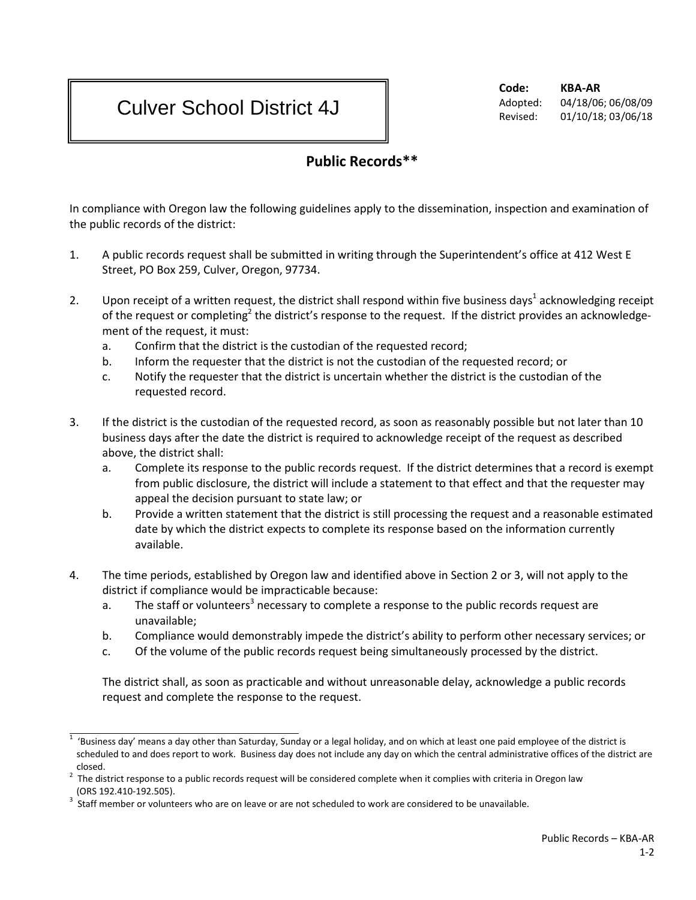## Culver School District 4J

**Code: KBA-AR** Adopted: 04/18/06; 06/08/09 Revised: 01/10/18; 03/06/18

## **Public Records\*\***

In compliance with Oregon law the following guidelines apply to the dissemination, inspection and examination of the public records of the district:

- 1. A public records request shall be submitted in writing through the Superintendent's office at 412 West E Street, PO Box 259, Culver, Oregon, 97734.
- 2. Upon receipt of a written request, the district shall respond within five business days<sup>1</sup> acknowledging receipt of the request or completing<sup>2</sup> the district's response to the request. If the district provides an acknowledgement of the request, it must:
	- a. Confirm that the district is the custodian of the requested record;
	- b. Inform the requester that the district is not the custodian of the requested record; or
	- c. Notify the requester that the district is uncertain whether the district is the custodian of the requested record.
- 3. If the district is the custodian of the requested record, as soon as reasonably possible but not later than 10 business days after the date the district is required to acknowledge receipt of the request as described above, the district shall:
	- a. Complete its response to the public records request. If the district determines that a record is exempt from public disclosure, the district will include a statement to that effect and that the requester may appeal the decision pursuant to state law; or
	- b. Provide a written statement that the district is still processing the request and a reasonable estimated date by which the district expects to complete its response based on the information currently available.
- 4. The time periods, established by Oregon law and identified above in Section 2 or 3, will not apply to the district if compliance would be impracticable because:
	- a. The staff or volunteers<sup>3</sup> necessary to complete a response to the public records request are unavailable;
	- b. Compliance would demonstrably impede the district's ability to perform other necessary services; or
	- c. Of the volume of the public records request being simultaneously processed by the district.

The district shall, as soon as practicable and without unreasonable delay, acknowledge a public records request and complete the response to the request.

<sup>1</sup> 'Business day' means a day other than Saturday, Sunday or a legal holiday, and on which at least one paid employee of the district is scheduled to and does report to work. Business day does not include any day on which the central administrative offices of the district are closed.

 $2$  The district response to a public records request will be considered complete when it complies with criteria in Oregon law (ORS 192.410-192.505).<br>Staff member or volunteers who are on leave or are not scheduled to work are considered to be unavailable.